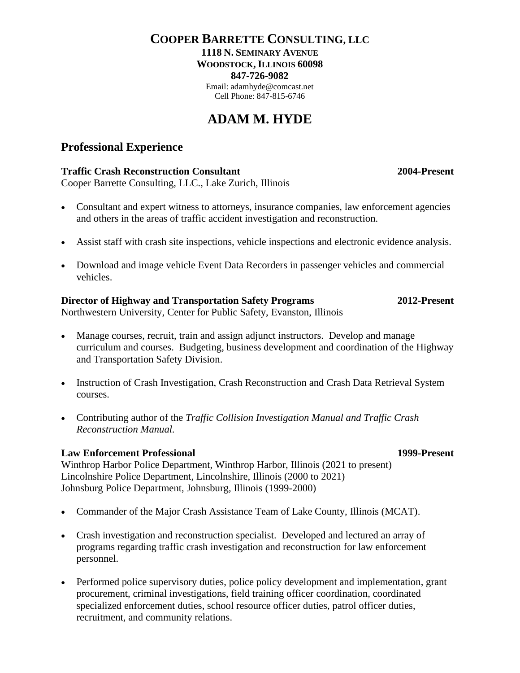## **COOPER BARRETTE CONSULTING, LLC 1118 N. SEMINARY AVENUE WOODSTOCK, ILLINOIS 60098 847-726-9082** Email: adamhyde@comcast.net

Cell Phone: 847-815-6746

# **ADAM M. HYDE**

# **Professional Experience**

## **Traffic Crash Reconstruction Consultant 2004-Present**

Cooper Barrette Consulting, LLC., Lake Zurich, Illinois

- Consultant and expert witness to attorneys, insurance companies, law enforcement agencies and others in the areas of traffic accident investigation and reconstruction.
- Assist staff with crash site inspections, vehicle inspections and electronic evidence analysis.
- Download and image vehicle Event Data Recorders in passenger vehicles and commercial vehicles.

**Director of Highway and Transportation Safety Programs 2012-Present** Northwestern University, Center for Public Safety, Evanston, Illinois

- Manage courses, recruit, train and assign adjunct instructors. Develop and manage curriculum and courses. Budgeting, business development and coordination of the Highway and Transportation Safety Division.
- Instruction of Crash Investigation, Crash Reconstruction and Crash Data Retrieval System courses.
- Contributing author of the *Traffic Collision Investigation Manual and Traffic Crash Reconstruction Manual.*

## **Law Enforcement Professional 1999-Present**

Winthrop Harbor Police Department, Winthrop Harbor, Illinois (2021 to present) Lincolnshire Police Department, Lincolnshire, Illinois (2000 to 2021) Johnsburg Police Department, Johnsburg, Illinois (1999-2000)

- Commander of the Major Crash Assistance Team of Lake County, Illinois (MCAT).
- Crash investigation and reconstruction specialist. Developed and lectured an array of programs regarding traffic crash investigation and reconstruction for law enforcement personnel.
- Performed police supervisory duties, police policy development and implementation, grant procurement, criminal investigations, field training officer coordination, coordinated specialized enforcement duties, school resource officer duties, patrol officer duties, recruitment, and community relations.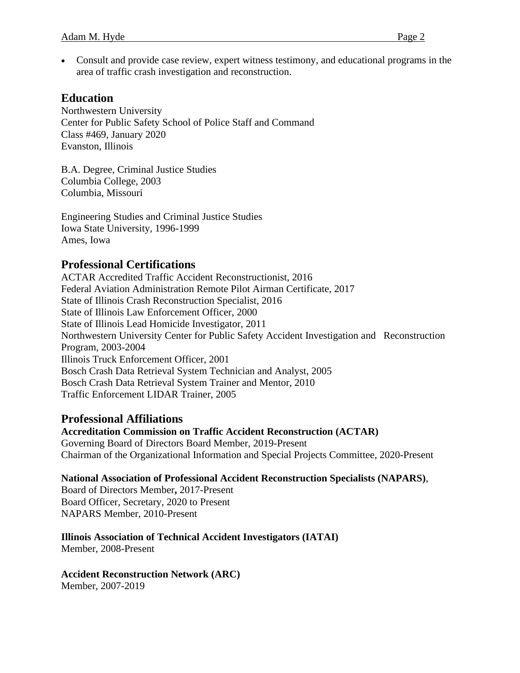• Consult and provide case review, expert witness testimony, and educational programs in the area of traffic crash investigation and reconstruction.

## **Education**

Northwestern University Center for Public Safety School of Police Staff and Command Class #469, January 2020 Evanston, Illinois

B.A. Degree, Criminal Justice Studies Columbia College, 2003 Columbia, Missouri

Engineering Studies and Criminal Justice Studies Iowa State University, 1996-1999 Ames, Iowa

## **Professional Certifications**

ACTAR Accredited Traffic Accident Reconstructionist, 2016 Federal Aviation Administration Remote Pilot Airman Certificate, 2017 State of Illinois Crash Reconstruction Specialist, 2016 State of Illinois Law Enforcement Officer, 2000 State of Illinois Lead Homicide Investigator, 2011 Northwestern University Center for Public Safety Accident Investigation and Reconstruction Program, 2003-2004 Illinois Truck Enforcement Officer, 2001 Bosch Crash Data Retrieval System Technician and Analyst, 2005 Bosch Crash Data Retrieval System Trainer and Mentor, 2010 Traffic Enforcement LIDAR Trainer, 2005

## **Professional Affiliations**

**Accreditation Commission on Traffic Accident Reconstruction (ACTAR)** Governing Board of Directors Board Member, 2019-Present Chairman of the Organizational Information and Special Projects Committee, 2020-Present

## **National Association of Professional Accident Reconstruction Specialists (NAPARS)**,

Board of Directors Member**,** 2017-Present Board Officer, Secretary, 2020 to Present NAPARS Member, 2010-Present

# **Illinois Association of Technical Accident Investigators (IATAI)**

Member, 2008-Present

## **Accident Reconstruction Network (ARC)**

Member, 2007-2019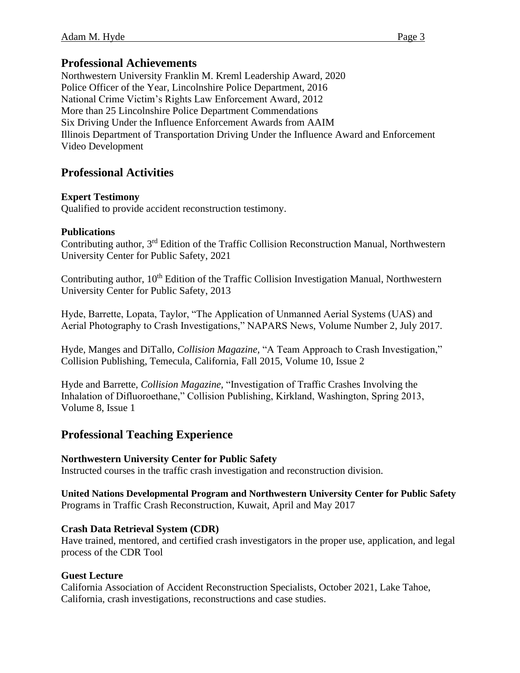## **Professional Achievements**

Northwestern University Franklin M. Kreml Leadership Award, 2020 Police Officer of the Year, Lincolnshire Police Department, 2016 National Crime Victim's Rights Law Enforcement Award, 2012 More than 25 Lincolnshire Police Department Commendations Six Driving Under the Influence Enforcement Awards from AAIM Illinois Department of Transportation Driving Under the Influence Award and Enforcement Video Development

# **Professional Activities**

## **Expert Testimony**

Qualified to provide accident reconstruction testimony.

## **Publications**

Contributing author, 3<sup>rd</sup> Edition of the Traffic Collision Reconstruction Manual, Northwestern University Center for Public Safety, 2021

Contributing author, 10<sup>th</sup> Edition of the Traffic Collision Investigation Manual, Northwestern University Center for Public Safety, 2013

Hyde, Barrette, Lopata, Taylor, "The Application of Unmanned Aerial Systems (UAS) and Aerial Photography to Crash Investigations," NAPARS News, Volume Number 2, July 2017.

Hyde, Manges and DiTallo, *Collision Magazine,* "A Team Approach to Crash Investigation," Collision Publishing, Temecula, California, Fall 2015, Volume 10, Issue 2

Hyde and Barrette, *Collision Magazine,* "Investigation of Traffic Crashes Involving the Inhalation of Difluoroethane," Collision Publishing, Kirkland, Washington, Spring 2013, Volume 8, Issue 1

# **Professional Teaching Experience**

## **Northwestern University Center for Public Safety**

Instructed courses in the traffic crash investigation and reconstruction division.

#### **United Nations Developmental Program and Northwestern University Center for Public Safety**  Programs in Traffic Crash Reconstruction, Kuwait, April and May 2017

## **Crash Data Retrieval System (CDR)**

Have trained, mentored, and certified crash investigators in the proper use, application, and legal process of the CDR Tool

## **Guest Lecture**

California Association of Accident Reconstruction Specialists, October 2021, Lake Tahoe, California, crash investigations, reconstructions and case studies.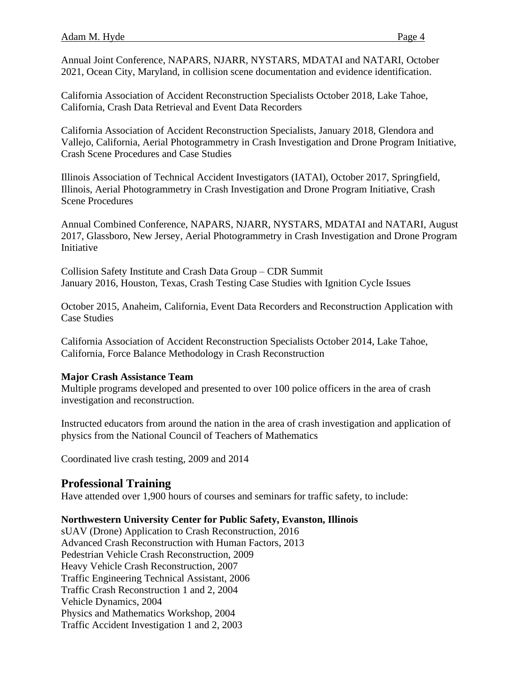Annual Joint Conference, NAPARS, NJARR, NYSTARS, MDATAI and NATARI, October 2021, Ocean City, Maryland, in collision scene documentation and evidence identification.

California Association of Accident Reconstruction Specialists October 2018, Lake Tahoe, California, Crash Data Retrieval and Event Data Recorders

California Association of Accident Reconstruction Specialists, January 2018, Glendora and Vallejo, California, Aerial Photogrammetry in Crash Investigation and Drone Program Initiative, Crash Scene Procedures and Case Studies

Illinois Association of Technical Accident Investigators (IATAI), October 2017, Springfield, Illinois, Aerial Photogrammetry in Crash Investigation and Drone Program Initiative, Crash Scene Procedures

Annual Combined Conference, NAPARS, NJARR, NYSTARS, MDATAI and NATARI, August 2017, Glassboro, New Jersey, Aerial Photogrammetry in Crash Investigation and Drone Program Initiative

Collision Safety Institute and Crash Data Group – CDR Summit January 2016, Houston, Texas, Crash Testing Case Studies with Ignition Cycle Issues

October 2015, Anaheim, California, Event Data Recorders and Reconstruction Application with Case Studies

California Association of Accident Reconstruction Specialists October 2014, Lake Tahoe, California, Force Balance Methodology in Crash Reconstruction

#### **Major Crash Assistance Team**

Multiple programs developed and presented to over 100 police officers in the area of crash investigation and reconstruction.

Instructed educators from around the nation in the area of crash investigation and application of physics from the National Council of Teachers of Mathematics

Coordinated live crash testing, 2009 and 2014

## **Professional Training**

Have attended over 1,900 hours of courses and seminars for traffic safety, to include:

## **Northwestern University Center for Public Safety, Evanston, Illinois**

sUAV (Drone) Application to Crash Reconstruction, 2016 Advanced Crash Reconstruction with Human Factors, 2013 Pedestrian Vehicle Crash Reconstruction, 2009 Heavy Vehicle Crash Reconstruction, 2007 Traffic Engineering Technical Assistant, 2006 Traffic Crash Reconstruction 1 and 2, 2004 Vehicle Dynamics, 2004 Physics and Mathematics Workshop, 2004 Traffic Accident Investigation 1 and 2, 2003